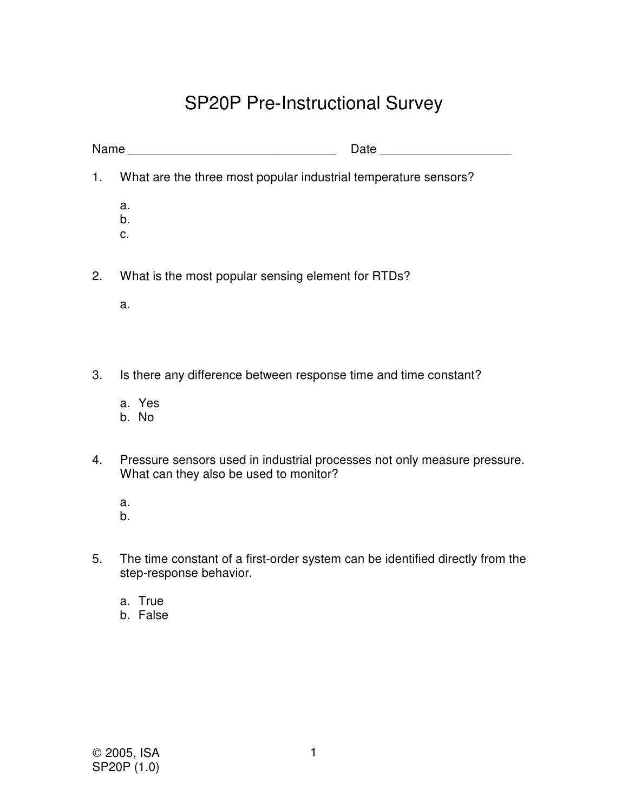## SP20P Pre-Instructional Survey

|                  | Name                                                                                                               |
|------------------|--------------------------------------------------------------------------------------------------------------------|
| 1.               | What are the three most popular industrial temperature sensors?                                                    |
|                  | a.<br>b.<br>C.                                                                                                     |
| 2.               | What is the most popular sensing element for RTDs?                                                                 |
|                  | a.                                                                                                                 |
|                  |                                                                                                                    |
| 3.               | Is there any difference between response time and time constant?                                                   |
|                  | a. Yes<br>b. No                                                                                                    |
| $\overline{4}$ . | Pressure sensors used in industrial processes not only measure pressure.<br>What can they also be used to monitor? |
|                  | a.<br>b.                                                                                                           |

- 5. The time constant of a first-order system can be identified directly from the step-response behavior.
	- a. True
	- b. False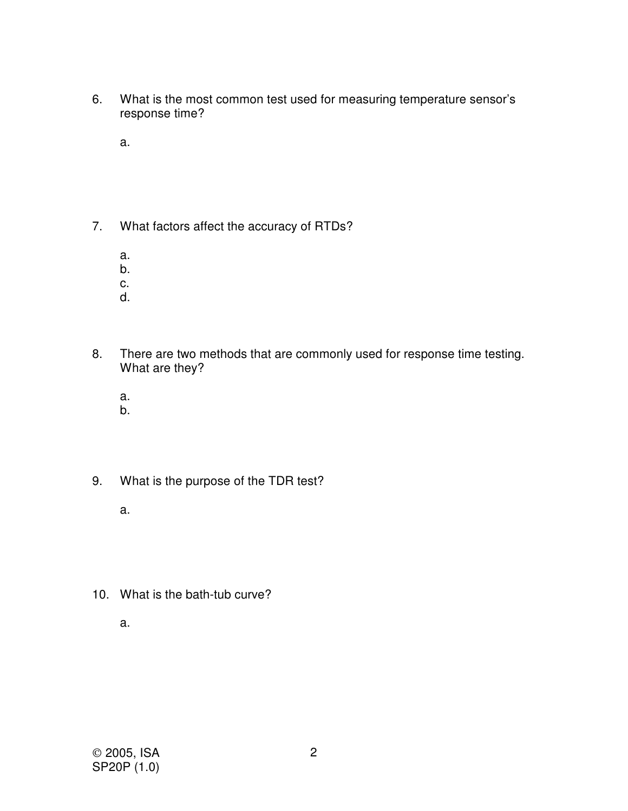- 6. What is the most common test used for measuring temperature sensor's response time?
	- a.
- 7. What factors affect the accuracy of RTDs?
	- a.
	- b.
	- c.
	- d.
- 8. There are two methods that are commonly used for response time testing. What are they?
	- a.
	- b.
- 9. What is the purpose of the TDR test?
	- a.
- 10. What is the bath-tub curve?
	- a.